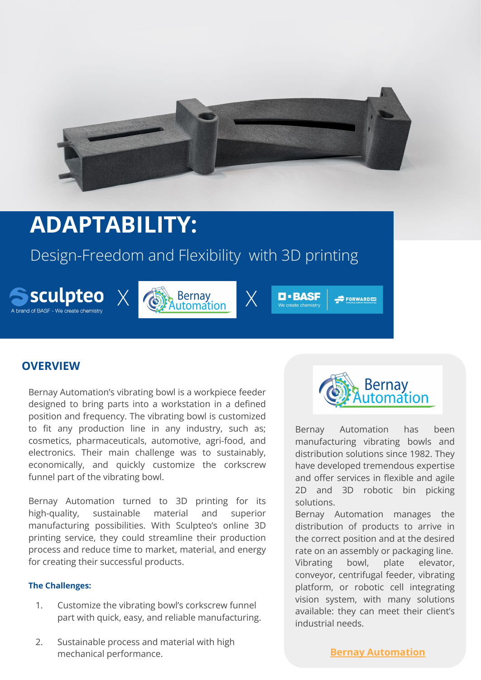

# **ADAPTABILITY:**

## Design-Freedom and Flexibility with 3D printing







 $\Rightarrow$  FORWARD  $\equiv$ 

## **OVERVIEW**

Bernay Automation's vibrating bowl is a workpiece feeder designed to bring parts into a workstation in a defined position and frequency. The vibrating bowl is customized to fit any production line in any industry, such as; cosmetics, pharmaceuticals, automotive, agri-food, and electronics. Their main challenge was to sustainably, economically, and quickly customize the corkscrew funnel part of the vibrating bowl.

Bernay Automation turned to 3D printing for its high-quality, sustainable material and superior manufacturing possibilities. With Sculpteo's online 3D printing service, they could streamline their production process and reduce time to market, material, and energy for creating their successful products.

#### **The Challenges:**

- 1. Customize the vibrating bowl's corkscrew funnel part with quick, easy, and reliable manufacturing.
- 2. Sustainable process and material with high mechanical performance.



Bernay Automation has been manufacturing vibrating bowls and distribution solutions since 1982. They have developed tremendous expertise and offer services in flexible and agile 2D and 3D robotic bin picking solutions.

Bernay Automation manages the distribution of products to arrive in the correct position and at the desired rate on an assembly or packaging line. Vibrating bowl, plate elevator, conveyor, centrifugal feeder, vibrating platform, or robotic cell integrating vision system, with many solutions available: they can meet their client's industrial needs.

**[Bernay Automation](https://www.bernay-automation.com/)**